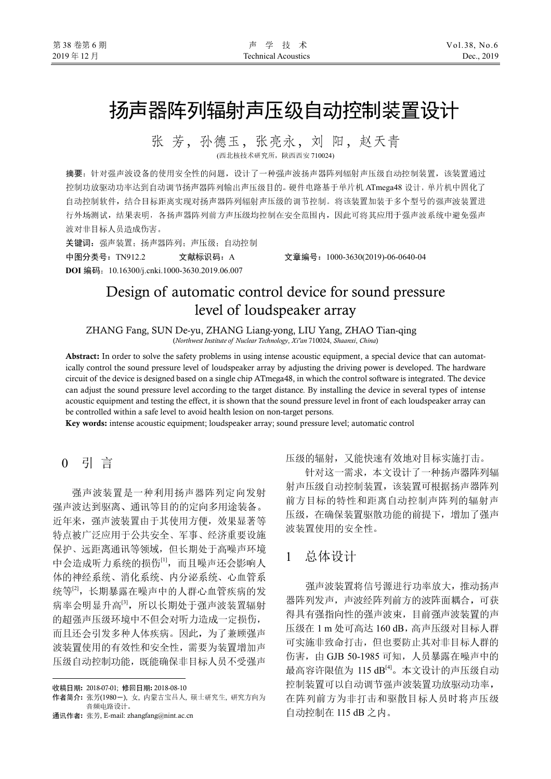# 扬声器阵列辐射声压级自动控制装置设计

张 芳,孙德玉,张亮永,刘 阳,赵天青 (西北核技术研究所,陕西西安 710024)

摘要:针对强声波设备的使用安全性的问题,设计了一种强声波扬声器阵列辐射声压级自动控制装置,该装置通过 控制功放驱动功率达到自动调节扬声器阵列输出声压级目的。硬件电路基于单片机 ATmega48 设计, 单片机中固化了 自动控制软件,结合目标距离实现对扬声器阵列辐射声压级的调节控制。将该装置加装于多个型号的强声波装置进 行外场测试,结果表明,各扬声器阵列前方声压级均控制在安全范围内,因此可将其应用于强声波系统中避免强声 波对非目标人员造成伤害。

关键词: 强声装置; 扬声器阵列; 声压级; 自动控制

**DOI** 编码:10.16300/j.cnki.1000-3630.2019.06.007

中图分类号:TN912.2 文献标识码:A 文章编号:1000-3630(2019)-06-0640-04

# Design of automatic control device for sound pressure level of loudspeaker array

ZHANG Fang, SUN De-yu, ZHANG Liang-yong, LIU Yang, ZHAO Tian-qing (*Northwest Institute of Nuclear Technology*, *Xi'an* 710024, *Shaanxi*, *China*)

**Abstract:** In order to solve the safety problems in using intense acoustic equipment, a special device that can automatically control the sound pressure level of loudspeaker array by adjusting the driving power is developed. The hardware circuit of the device is designed based on a single chip ATmega48, in which the control software is integrated. The device can adjust the sound pressure level according to the target distance. By installing the device in several types of intense acoustic equipment and testing the effect, it is shown that the sound pressure level in front of each loudspeaker array can be controlled within a safe level to avoid health lesion on non-target persons.

**Key words:** intense acoustic equipment; loudspeaker array; sound pressure level; automatic control

# 0 引 言<sup>1</sup>

强声波装置是一种利用扬声器阵列定向发射 强声波达到驱离、通讯等目的的定向多用途装备。 近年来,强声波装置由于其使用方便,效果显著等 特点被广泛应用于公共安全、军事、经济重要设施 保护、远距离通讯等领域,但长期处于高噪声环境 中会造成听力系统的损伤[1],而且噪声还会影响人 体的神经系统、消化系统、内分泌系统、心血管系 统等<sup>[2]</sup>,长期暴露在噪声中的人群心血管疾病的发 病率会明显升高<sup>[3]</sup>,所以长期处于强声波装置辐射 的超强声压级环境中不但会对听力造成一定损伤, 而且还会引发多种人体疾病。因此,为了兼顾强声 波装置使用的有效性和安全性,需要为装置增加声 压级自动控制功能,既能确保非目标人员不受强声

j

通讯作者**:** 张芳, E-mail: zhangfang@nint.ac.cn

压级的辐射,又能快速有效地对目标实施打击。

针对这一需求,本文设计了一种扬声器阵列辐 射声压级自动控制装置,该装置可根据扬声器阵列 前方目标的特性和距离自动控制声阵列的辐射声 压级,在确保装置驱散功能的前提下,增加了强声 波装置使用的安全性。

# 1 总体设计

强声波装置将信号源进行功率放大,推动扬声 器阵列发声,声波经阵列前方的波阵面耦合,可获 得具有强指向性的强声波束,目前强声波装置的声 压级在 1 m 处可高达 160 dB, 高声压级对目标人群 可实施非致命打击,但也要防止其对非目标人群的 伤害, 由 GJB 50-1985 可知, 人员暴露在噪声中的 最高容许限值为 115 dB[4]。本文设计的声压级自动 控制装置可以自动调节强声波装置功放驱动功率, 在阵列前方为非打击和驱散目标人员时将声压级 自动控制在 115 dB 之内。

收稿日期**:** 2018-07-01; 修回日期**:** 2018-08-10

作者简介**:** 张芳(1980-), 女, 内蒙古宝昌人, 硕士研究生, 研究方向为 音频电路设计。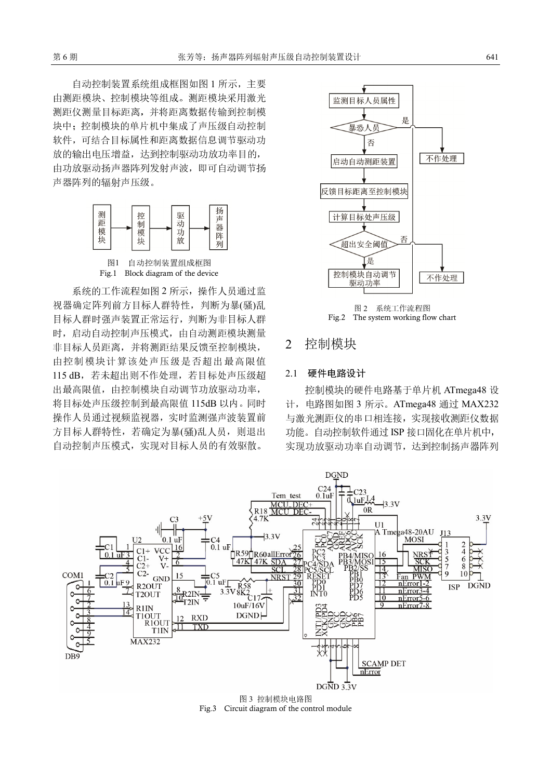自动控制装置系统组成框图如图 1 所示,主要 由测距模块、控制模块等组成。测距模块采用激光 测距仪测量目标距离,并将距离数据传输到控制模 块中;控制模块的单片机中集成了声压级自动控制 软件,可结合目标属性和距离数据信息调节驱动功 放的输出电压增益,达到控制驱动功放功率目的, 由功放驱动扬声器阵列发射声波,即可自动调节扬 声器阵列的辐射声压级。





系统的工作流程如图 2 所示, 操作人员通过监 视器确定阵列前方目标人群特性,判断为暴(骚)乱 目标人群时强声装置正常运行,判断为非目标人群 时,启动自动控制声压模式,由自动测距模块测量 非目标人员距离,并将测距结果反馈至控制模块, 由控制模块计算该处声压级是否超出最高限值 115 dB, 若未超出则不作处理, 若目标处声压级超 出最高限值,由控制模块自动调节功放驱动功率, 将目标处声压级控制到最高限值 115dB 以内。同时 操作人员通过视频监视器,实时监测强声波装置前 方目标人群特性,若确定为暴(骚)乱人员,则退出 自动控制声压模式,实现对目标人员的有效驱散。





# 2 控制模块

#### 2.1 硬件电路设计

控制模块的硬件电路基于单片机 ATmega48 设 计,电路图如图 3 所示。ATmega48 通过 MAX232 与激光测距仪的串口相连接,实现接收测距仪数据 功能。自动控制软件通过 ISP 接口固化在单片机中, 实现功放驱动功率自动调节,达到控制扬声器阵列



Fig.3 Circuit diagram of the control module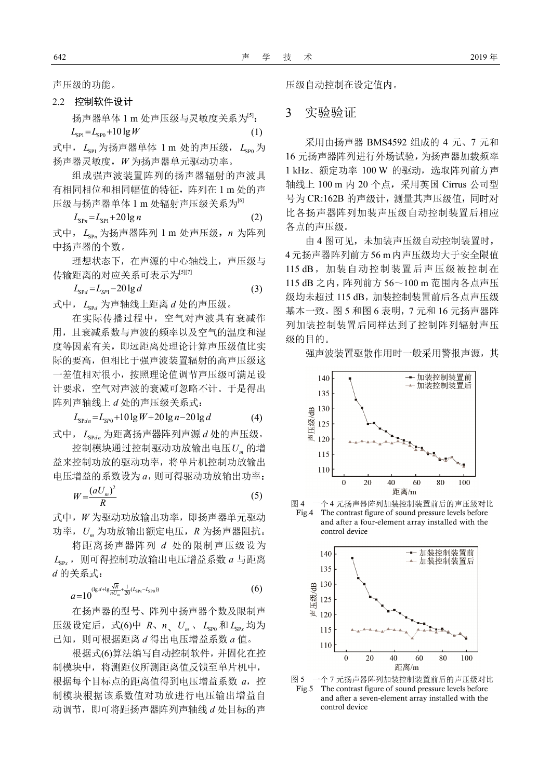声压级的功能。

#### 2.2 控制软件设计

扬声器单体 1 m 处声压级与灵敏度关系为<sup>[5]</sup>:  $L_{\rm sp1} = L_{\rm sp0} + 10 \lg W$  (1)

式中,  $L_{\text{sp}}$ 为扬声器单体 1 m 处的声压级,  $L_{\text{sp}}$ 为 扬声器灵敏度,*W* 为扬声器单元驱动功率。

组成强声波装置阵列的扬声器辐射的声波具 有相同相位和相同幅值的特征,阵列在 1 m 处的声 压级与扬声器单体 1 m 处辐射声压级关系为<sup>[6]</sup>

$$
L_{\rm SPn} = L_{\rm SP1} + 20 \lg n \tag{2}
$$

式中,  $L_{\text{SD}}$  为扬声器阵列 1 m 处声压级, n 为阵列 中扬声器的个数。

理想状态下,在声源的中心轴线上,声压级与 传输距离的对应关系可表示为[5][7]

$$
L_{\rm SPd} = L_{\rm SPI} - 20 \lg d \tag{3}
$$

式中,  $L_{rad}$  为声轴线上距离 *d* 处的声压级。

在实际传播过程中,空气对声波具有衰减作 用,且衰减系数与声波的频率以及空气的温度和湿 度等因素有关,即远距离处理论计算声压级值比实 际的要高,但相比于强声波装置辐射的高声压级这 一差值相对很小,按照理论值调节声压级可满足设 计要求,空气对声波的衰减可忽略不计。于是得出 阵列声轴线上 *d* 处的声压级关系式:

$$
L_{\text{SPd}n} = L_{\text{SP0}} + 10 \lg W + 20 \lg n - 20 \lg d \tag{4}
$$

式中,  $L_{\text{Spd}$ , 为距离扬声器阵列声源 *d* 处的声压级。

控制模块通过控制驱动功放输出电压*U<sup>m</sup>* 的增 益来控制功放的驱动功率,将单片机控制功放输出 电压增益的系数设为 *a*,则可得驱动功放输出功率:

$$
W = \frac{(aU_m)^2}{R} \tag{5}
$$

式中,*W* 为驱动功放输出功率,即扬声器单元驱动 功率,*U<sup>m</sup>* 为功放输出额定电压,*R* 为扬声器阻抗。

将距离扬声器阵列 *d* 处的限制声压级设为  $L_{SP}$ , 则可得控制功放输出电压增益系数  $a$  与距离 *d* 的关系式:

$$
a=10^{(\lg d+\lg \frac{\sqrt{R}}{nU_m}+\frac{1}{20}(L_{\text{SP}_x}-L_{\text{SP}_0}))}
$$
(6)

在扬声器的型号、阵列中扬声器个数及限制声 压级设定后, 式(6)中 *R、n U<sub>m</sub>、 L*<sub>SP0</sub> 和 L<sub>SPx</sub> 均为 已知,则可根据距离 *d* 得出电压增益系数 *a* 值。

根据式(6)算法编写自动控制软件,并固化在控 制模块中,将测距仪所测距离值反馈至单片机中, 根据每个目标点的距离值得到电压增益系数 a, 控 制模块根据该系数值对功放进行电压输出增益自 动调节,即可将距扬声器阵列声轴线 *d* 处目标的声 压级自动控制在设定值内。

### 3 实验验证

采用由扬声器 BMS4592 组成的 4 元、7 元和 16 元扬声器阵列进行外场试验,为扬声器加载频率 1 kHz、额定功率 100 W 的驱动,选取阵列前方声 轴线上 100 m 内 20 个点,采用英国 Cirrus 公司型 号为 CR:162B 的声级计, 测量其声压级值, 同时对 比各扬声器阵列加装声压级自动控制装置后相应 各点的声压级。

由 4 图可见,未加装声压级自动控制装置时, 4元扬声器阵列前方56 m内声压级均大于安全限值 115 dB, 加装自动控制装置后声压级被控制在 115 dB 之内,阵列前方 56~100 m 范围内各点声压 级均未超过 115 dB, 加装控制装置前后各点声压级 基本一致。图 5 和图 6 表明,7 元和 16 元扬声器阵 列加装控制装置后同样达到了控制阵列辐射声压 级的目的。

强声波装置驱散作用时一般采用警报声源,其









Fig.5 The contrast figure of sound pressure levels before and after a seven-element array installed with the control device